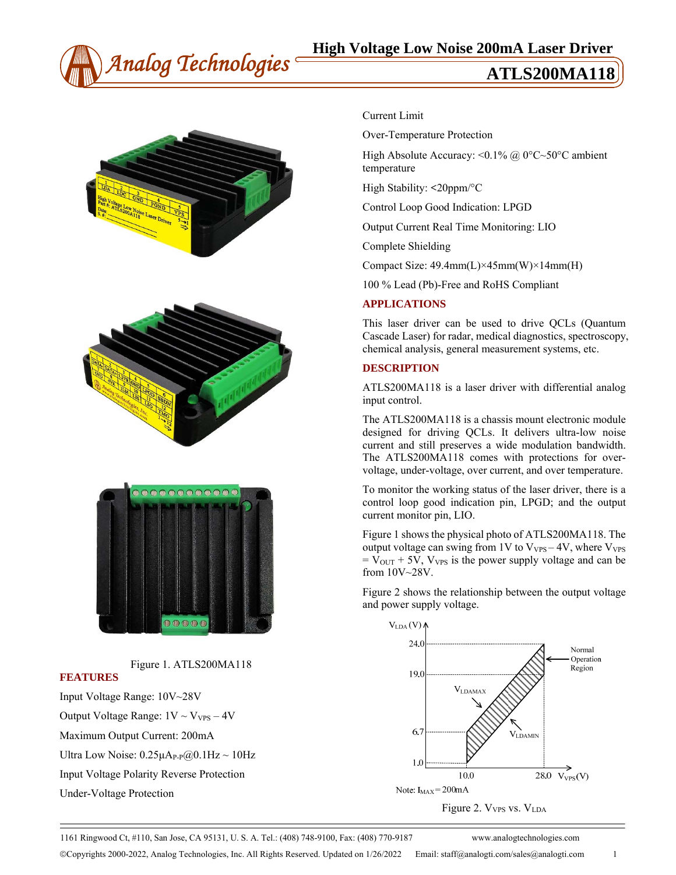







Figure 1. ATLS200MA118

#### **FEATURES**

Input Voltage Range: 10V~28V Output Voltage Range:  $1V \sim V_{VPS} - 4V$ Maximum Output Current: 200mA Ultra Low Noise:  $0.25\mu A_{P-P}(a)0.1Hz \sim 10Hz$ Input Voltage Polarity Reverse Protection

Under-Voltage Protection

### Current Limit

Over-Temperature Protection

High Absolute Accuracy: < $0.1\%$  @ 0°C~50°C ambient temperature

High Stability: **<**20ppm/°C

Control Loop Good Indication: LPGD

Output Current Real Time Monitoring: LIO

Complete Shielding

Compact Size: 49.4mm(L)×45mm(W)×14mm(H)

100 % Lead (Pb)-Free and RoHS Compliant

#### **APPLICATIONS**

This laser driver can be used to drive QCLs (Quantum Cascade Laser) for radar, medical diagnostics, spectroscopy, chemical analysis, general measurement systems, etc.

#### **DESCRIPTION**

ATLS200MA118 is a laser driver with differential analog input control.

The ATLS200MA118 is a chassis mount electronic module designed for driving QCLs. It delivers ultra-low noise current and still preserves a wide modulation bandwidth. The ATLS200MA118 comes with protections for overvoltage, under-voltage, over current, and over temperature.

To monitor the working status of the laser driver, there is a control loop good indication pin, LPGD; and the output current monitor pin, LIO.

Figure 1 shows the physical photo of ATLS200MA118. The output voltage can swing from  $1V$  to  $V_{VPS} - 4V$ , where  $V_{VPS}$  $= V_{\text{OUT}} + 5V$ ,  $V_{\text{VPS}}$  is the power supply voltage and can be from 10V~28V.

Figure 2 shows the relationship between the output voltage and power supply voltage.



Figure 2. V<sub>VPS</sub> vs. V<sub>LDA</sub>

1161 Ringwood Ct, #110, San Jose, CA 95131, U. S. A. Tel.: (408) 748-9100, Fax: (408) 770-9187 www.analogtechnologies.com

Copyrights 2000-2022, Analog Technologies, Inc. All Rights Reserved. Updated on 1/26/2022 Email: staff@analogti.com/sales@analogti.com 1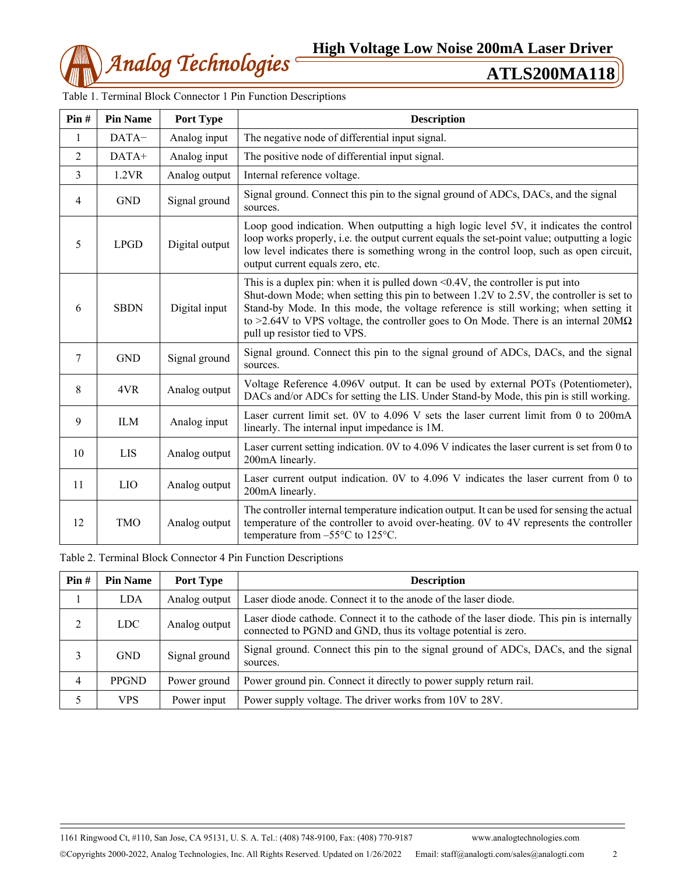

| Pin#           | <b>Pin Name</b> | Port Type      | <b>Description</b>                                                                                                                                                                                                                                                                                                                                                                                      |  |
|----------------|-----------------|----------------|---------------------------------------------------------------------------------------------------------------------------------------------------------------------------------------------------------------------------------------------------------------------------------------------------------------------------------------------------------------------------------------------------------|--|
| 1              | DATA-           | Analog input   | The negative node of differential input signal.                                                                                                                                                                                                                                                                                                                                                         |  |
| $\overline{2}$ | DATA+           | Analog input   | The positive node of differential input signal.                                                                                                                                                                                                                                                                                                                                                         |  |
| 3              | 1.2VR           | Analog output  | Internal reference voltage.                                                                                                                                                                                                                                                                                                                                                                             |  |
| 4              | <b>GND</b>      | Signal ground  | Signal ground. Connect this pin to the signal ground of ADCs, DACs, and the signal<br>sources.                                                                                                                                                                                                                                                                                                          |  |
| 5              | <b>LPGD</b>     | Digital output | Loop good indication. When outputting a high logic level 5V, it indicates the control<br>loop works properly, i.e. the output current equals the set-point value; outputting a logic<br>low level indicates there is something wrong in the control loop, such as open circuit,<br>output current equals zero, etc.                                                                                     |  |
| 6              | <b>SBDN</b>     | Digital input  | This is a duplex pin: when it is pulled down $\leq 0.4V$ , the controller is put into<br>Shut-down Mode; when setting this pin to between 1.2V to 2.5V, the controller is set to<br>Stand-by Mode. In this mode, the voltage reference is still working; when setting it<br>to >2.64V to VPS voltage, the controller goes to On Mode. There is an internal $20M\Omega$<br>pull up resistor tied to VPS. |  |
| 7              | <b>GND</b>      | Signal ground  | Signal ground. Connect this pin to the signal ground of ADCs, DACs, and the signal<br>sources.                                                                                                                                                                                                                                                                                                          |  |
| 8              | 4VR             | Analog output  | Voltage Reference 4.096V output. It can be used by external POTs (Potentiometer),<br>DACs and/or ADCs for setting the LIS. Under Stand-by Mode, this pin is still working.                                                                                                                                                                                                                              |  |
| 9              | <b>ILM</b>      | Analog input   | Laser current limit set. 0V to 4.096 V sets the laser current limit from 0 to 200mA<br>linearly. The internal input impedance is 1M.                                                                                                                                                                                                                                                                    |  |
| 10             | <b>LIS</b>      | Analog output  | Laser current setting indication. 0V to 4.096 V indicates the laser current is set from 0 to<br>200mA linearly.                                                                                                                                                                                                                                                                                         |  |
| 11             | <b>LIO</b>      | Analog output  | Laser current output indication. 0V to 4.096 V indicates the laser current from 0 to<br>200mA linearly.                                                                                                                                                                                                                                                                                                 |  |
| 12             | <b>TMO</b>      | Analog output  | The controller internal temperature indication output. It can be used for sensing the actual<br>temperature of the controller to avoid over-heating. 0V to 4V represents the controller<br>temperature from $-55^{\circ}$ C to 125 $^{\circ}$ C.                                                                                                                                                        |  |

Table 1. Terminal Block Connector 1 Pin Function Descriptions

Table 2. Terminal Block Connector 4 Pin Function Descriptions

| $\textbf{Pin} \#$ | <b>Pin Name</b> | Port Type     | <b>Description</b>                                                                                                                                          |  |  |
|-------------------|-----------------|---------------|-------------------------------------------------------------------------------------------------------------------------------------------------------------|--|--|
|                   | LDA.            | Analog output | Laser diode anode. Connect it to the anode of the laser diode.                                                                                              |  |  |
| 2                 | <b>LDC</b>      | Analog output | Laser diode cathode. Connect it to the cathode of the laser diode. This pin is internally<br>connected to PGND and GND, thus its voltage potential is zero. |  |  |
| 3                 | <b>GND</b>      | Signal ground | Signal ground. Connect this pin to the signal ground of ADCs, DACs, and the signal<br>sources.                                                              |  |  |
| 4                 | <b>PPGND</b>    | Power ground  | Power ground pin. Connect it directly to power supply return rail.                                                                                          |  |  |
| 5                 | <b>VPS</b>      | Power input   | Power supply voltage. The driver works from 10V to 28V.                                                                                                     |  |  |

1161 Ringwood Ct, #110, San Jose, CA 95131, U. S. A. Tel.: (408) 748-9100, Fax: (408) 770-9187 www.analogtechnologies.com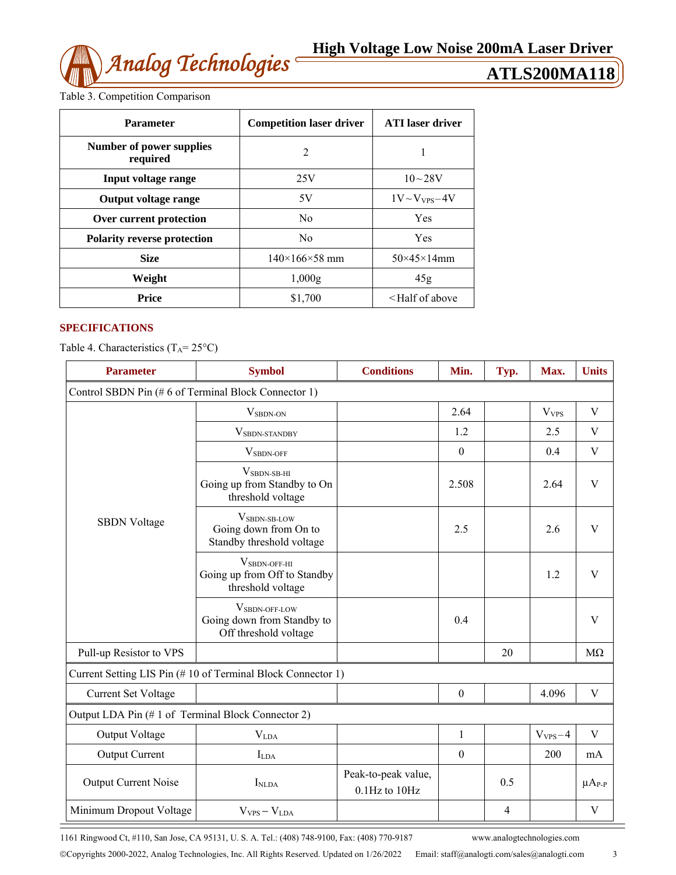Table 3. Competition Comparison

| <b>Parameter</b>                     | <b>Competition laser driver</b> | <b>ATI</b> laser driver             |
|--------------------------------------|---------------------------------|-------------------------------------|
| Number of power supplies<br>required | $\overline{2}$                  | 1                                   |
| Input voltage range                  | 25V                             | $10 - 28V$                          |
| <b>Output voltage range</b>          | 5V                              | $1V \sim V_{VPS} - 4V$              |
| Over current protection              | N <sub>0</sub>                  | <b>Yes</b>                          |
| <b>Polarity reverse protection</b>   | N <sub>0</sub>                  | <b>Yes</b>                          |
| <b>Size</b>                          | $140\times166\times58$ mm       | $50\times45\times14$ mm             |
| Weight                               | 1,000g                          | 45g                                 |
| Price                                | \$1,700                         | <half above<="" of="" th=""></half> |

# **SPECIFICATIONS**

Table 4. Characteristics  $(T_A = 25^{\circ}C)$ 

| <b>Parameter</b>                                            | <b>Symbol</b>                                                                  | <b>Conditions</b>                    | Min.             | Typ. | Max.             | <b>Units</b>  |  |  |
|-------------------------------------------------------------|--------------------------------------------------------------------------------|--------------------------------------|------------------|------|------------------|---------------|--|--|
| Control SBDN Pin (#6 of Terminal Block Connector 1)         |                                                                                |                                      |                  |      |                  |               |  |  |
|                                                             | $V_{SBDN-ON}$                                                                  |                                      | 2.64             |      | V <sub>VPS</sub> | V             |  |  |
|                                                             | VSBDN-STANDBY                                                                  |                                      | 1.2              |      | 2.5              | V             |  |  |
|                                                             | V <sub>SBDN-OFF</sub>                                                          |                                      | $\boldsymbol{0}$ |      | 0.4              | V             |  |  |
|                                                             | $V_{SBDN-SB-HI}$<br>Going up from Standby to On<br>threshold voltage           |                                      | 2.508            |      | 2.64             | V             |  |  |
| <b>SBDN</b> Voltage                                         | V <sub>SBDN-SB-LOW</sub><br>Going down from On to<br>Standby threshold voltage |                                      | 2.5              |      | 2.6              | V             |  |  |
|                                                             | $V_{\rm SBDN-OFF-HI}$<br>Going up from Off to Standby<br>threshold voltage     |                                      |                  |      | 1.2              | $\mathbf{V}$  |  |  |
|                                                             | VSBDN-OFF-LOW<br>Going down from Standby to<br>Off threshold voltage           |                                      | 0.4              |      |                  | V             |  |  |
| Pull-up Resistor to VPS                                     |                                                                                |                                      |                  | 20   |                  | $M\Omega$     |  |  |
| Current Setting LIS Pin (#10 of Terminal Block Connector 1) |                                                                                |                                      |                  |      |                  |               |  |  |
| <b>Current Set Voltage</b>                                  |                                                                                |                                      | $\boldsymbol{0}$ |      | 4.096            | V             |  |  |
| Output LDA Pin (#1 of Terminal Block Connector 2)           |                                                                                |                                      |                  |      |                  |               |  |  |
| Output Voltage                                              | V <sub>LDA</sub>                                                               |                                      | $\mathbf{1}$     |      | $V_{VPS} - 4$    | V             |  |  |
| <b>Output Current</b>                                       | $I_{LDA}$                                                                      |                                      | $\boldsymbol{0}$ |      | 200              | mA            |  |  |
| Output Current Noise                                        | I <sub>NLDA</sub>                                                              | Peak-to-peak value,<br>0.1Hz to 10Hz |                  | 0.5  |                  | $\mu A_{P-P}$ |  |  |
| Minimum Dropout Voltage                                     | $V_{VPS} - V_{LDA}$                                                            |                                      |                  | 4    |                  | V             |  |  |

1161 Ringwood Ct, #110, San Jose, CA 95131, U. S. A. Tel.: (408) 748-9100, Fax: (408) 770-9187 www.analogtechnologies.com

 $\equiv$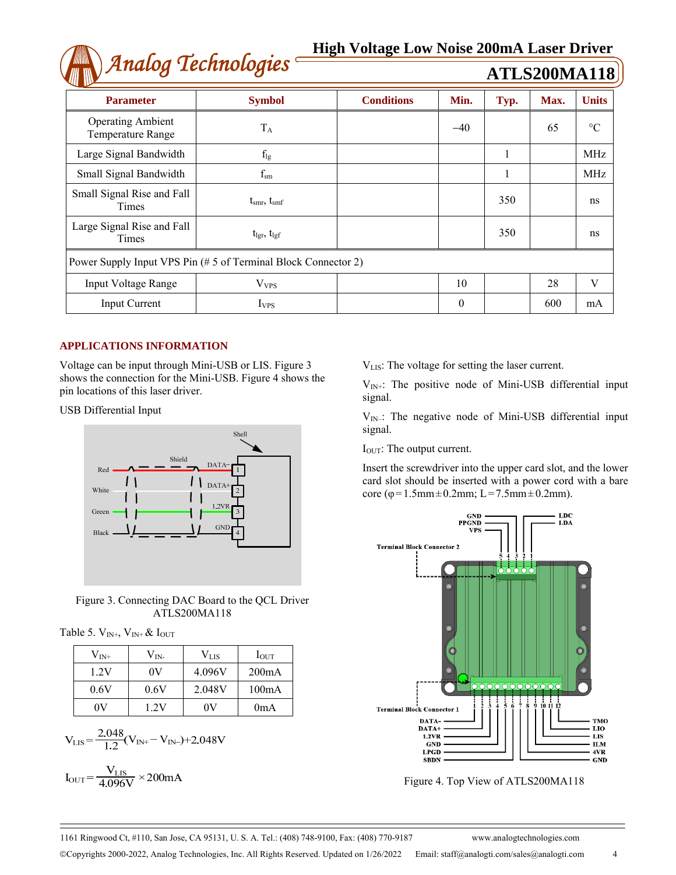# *Analog Technologies* **High Voltage Low Noise 200mA Laser Driver**

| Analog Technologies                                            |                               |                   |          |      | <b>ATLS200MA118</b> |                 |  |
|----------------------------------------------------------------|-------------------------------|-------------------|----------|------|---------------------|-----------------|--|
| <b>Parameter</b>                                               | <b>Symbol</b>                 | <b>Conditions</b> | Min.     | Typ. | Max.                | <b>Units</b>    |  |
| <b>Operating Ambient</b><br>Temperature Range                  | $T_A$                         |                   | $-40$    |      | 65                  | $\rm ^{\circ}C$ |  |
| Large Signal Bandwidth                                         | $f_{lg}$                      |                   |          |      |                     | MHz             |  |
| Small Signal Bandwidth                                         | $f_{\rm sm}$                  |                   |          |      |                     | MHz             |  |
| Small Signal Rise and Fall<br>Times                            | $t_{\rm smr}, t_{\rm smf}$    |                   |          | 350  |                     | ns              |  |
| Large Signal Rise and Fall<br>Times                            | $t_{\rm lgr}$ , $t_{\rm lgf}$ |                   |          | 350  |                     | ns              |  |
| Power Supply Input VPS Pin (# 5 of Terminal Block Connector 2) |                               |                   |          |      |                     |                 |  |
| <b>Input Voltage Range</b>                                     | V <sub>VPS</sub>              |                   | 10       |      | 28                  | V               |  |
| <b>Input Current</b>                                           | $I_{VPS}$                     |                   | $\theta$ |      | 600                 | mA              |  |

## **APPLICATIONS INFORMATION**

Voltage can be input through Mini-USB or LIS. Figure 3 shows the connection for the Mini-USB. Figure 4 shows the pin locations of this laser driver.

USB Differential Input



Figure 3. Connecting DAC Board to the QCL Driver ATLS200MA118

Table 5.  $V_{IN^+}$ ,  $V_{IN^+}$  &  $I_{OUT}$ 

| $\rm V_{\rm IN+}$ | $V_{IN}$ | Vlis   | $I_{\text{OUT}}$ |  |
|-------------------|----------|--------|------------------|--|
| 12V               | 0V       | 4.096V | 200mA            |  |
| 0.6V              | 0.6V     | 2.048V | 100mA            |  |
| 0V                | 1 2V     | 0V     | 0 <sub>m</sub> A |  |

$$
V_{LIS} = \frac{2.048}{1.2} (V_{IN+} - V_{IN-}) + 2.048 V
$$

$$
I_{OUT} = \frac{V_{LIS}}{4.096V} \times 200mA
$$

VLIS: The voltage for setting the laser current.

 $V_{IN+}$ : The positive node of Mini-USB differential input signal.

 $V_{IN}$ : The negative node of Mini-USB differential input signal.

I<sub>OUT</sub>: The output current.

Insert the screwdriver into the upper card slot, and the lower card slot should be inserted with a power cord with a bare core (φ=1.5mm±0.2mm; L=7.5mm±0.2mm).



Figure 4. Top View of ATLS200MA118

Copyrights 2000-2022, Analog Technologies, Inc. All Rights Reserved. Updated on 1/26/2022 Email: staff@analogti.com/sales@analogti.com 4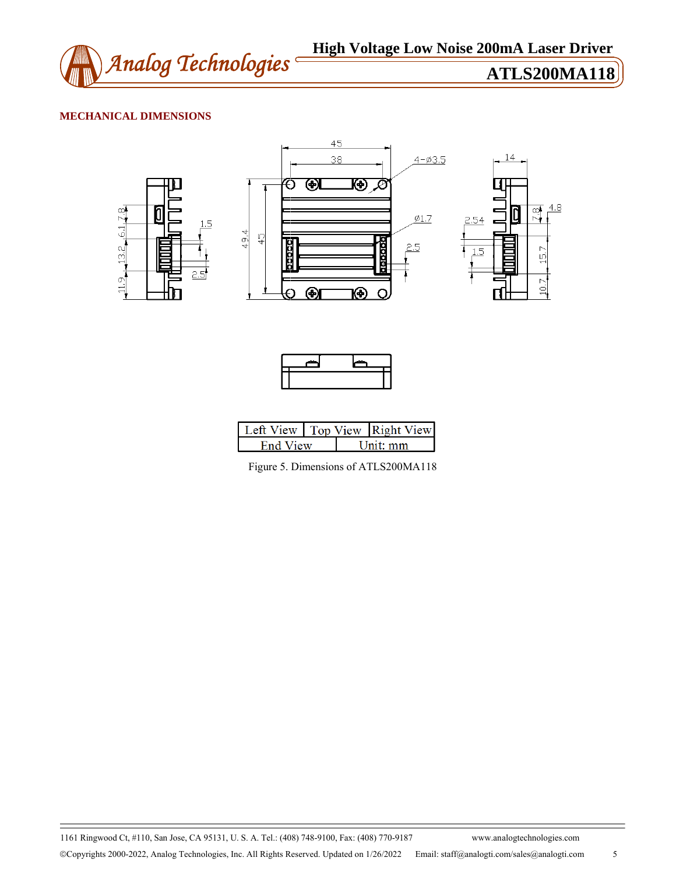

# **MECHANICAL DIMENSIONS**





| Left View Top View Right View |  |          |
|-------------------------------|--|----------|
| <b>Fnd View</b>               |  | Jnit: mm |

Figure 5. Dimensions of ATLS200MA118

1161 Ringwood Ct, #110, San Jose, CA 95131, U. S. A. Tel.: (408) 748-9100, Fax: (408) 770-9187 www.analogtechnologies.com Copyrights 2000-2022, Analog Technologies, Inc. All Rights Reserved. Updated on 1/26/2022 Email: staff@analogti.com/sales@analogti.com 5